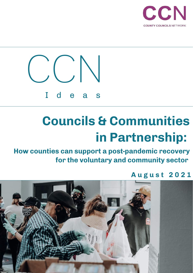



**How counties can support a post-pandemic recovery for the voluntary and community sector**

# **A u g u s t 2 0 2 1**

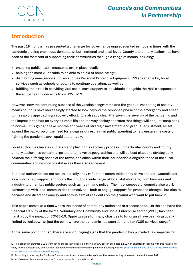# **Introduction**

The past 18 months has presented a challenge for governance unprecedented in modern times with the pandemic placing enormous demands at both national and local level. County and unitary authorities have been at the forefront of supporting their communities through a range of means including:

- ensuring public health measures are in place locally;
- helping the most vulnerable to be able to shield at home safely;
- distributing emergency supplies such as Personal Protective Equipment (PPE) to enable key local services such as schools or courts to continue operating; as well as
- fulfilling their role in providing vital social care support to individuals alongside the NHS's response to the acute health concerns from COVID-19.

However, now the continuing success of the vaccine programme and the gradual reopening of society means councils have increasingly started to look beyond the response phase of the emergency and ahead to the rapidly approaching recovery effort. It is already clear that given the severity of the pandemic and the impact it has had on every citizen's life and the way society operates that things will not just 'snap back' to normal. It is going to take months and years of strategic investment and gradual adjustment, all set against the backdrop of the need for a degree of restraint in public spending to help ensure the costs of fighting the pandemic are repaid sustainably.

Local authorities have a crucial role to play in this recovery process. In particular county and county unitary authorities contain large and often diverse geographies and will be best placed to strategically balance the differing needs of the towns and cities within their boundaries alongside those of the rural communities and remote coastal areas they also represent.

But local authorities do not act unilaterally, they reflect the communities they serve and act. Councils act as a hub to help support and focus the input of a wide range of local stakeholders, from business and industry to other key public sectors such as health and police. The most successful councils also work in partnership with local communities themselves – both to engage support for proposed changes, but also to harness and direct the energy and enthusiasm of residents on the ground who want to put back in.

This paper comes at a time where the trends of community action are at a crossroads. On the one hand the financial stability of the formal Voluntary and Community and Social Enterprise sector (VCSE) has been hard hit by the impact of COVID-19. Opportunities for many charities to fundraise have been drastically limited by lockdown at just the point where the pandemic has seen demand for VCSE services surge. $^{\rm 1,2}$ 

At the same point, though, there are encouraging signs that the pandemic has provided new impetus for

<sup>[1]</sup> Projections in summer 2020 from key representative bodies in the voluntary sector predicted a £12.4bn shortfall in income with this figure only likely to rise substantially now further lockdown measures have been implemented subsequently https://fundraising.co.uk/2020/06/19/charitiesface-12-4bn-shortfall-in-income-for-year/

<sup>[2]</sup> According to a survey by Pro Bono Economics autumn three-quarters of charities are expecting increased demand across 2021. https://www.probonoeconomics.com/the-charity-sector-through-covid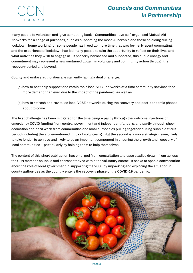

**CCN** I d e a s

many people to volunteer and 'give something back'. Communities have self-organised Mutual Aid Networks for a range of purposes, such as supporting the most vulnerable and those shielding during lockdown; home working for some people has freed up more time that was formerly spent commuting; and the experience of lockdown has led many people to take the opportunity to reflect on their lives and what activities they wish to engage in. If properly harnessed and supported, this public energy and commitment may represent a new sustained upturn in voluntary and community action through the recovery period and beyond.

County and unitary authorities are currently facing a dual challenge:

- (a) how to best help support and retain their local VCSE networks at a time community services face more demand than ever due to the impact of the pandemic; as well as
- (b) how to refresh and revitalise local VCSE networks during the recovery and post-pandemic phases about to come.

The first challenge has been mitigated for the time being – partly through the welcome injections of emergency COVID funding from central government and independent funders; and partly through sheer dedication and hard work from communities and local authorities pulling together during such a difficult period (including the aforementioned influx of volunteers). But the second is a more strategic issue, likely to take longer to achieve and likely to be an important component in ensuring the growth and recovery of local communities – particularly by helping them to help themselves.

The content of this short publication has emerged from consultation and case studies drawn from across the CCN member councils and representatives within the voluntary sector. It seeks to open a conversation about the role of local government in supporting the VCSE by unpacking and exploring the situation in county authorities as the country enters the recovery phase of the COVID-19 pandemic.

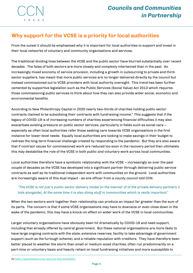# **Why support for the VCSE is a priority for local authorities**

From the outset it should be emphasised why it is important for local authorities to support and invest in their local networks of voluntary and community organisations and services.

The traditional dividing lines between the VCSE and the public sector have blurred substantially over recent decades. The fates of both sectors are more closely and complexly intertwined than in the past. An increasingly mixed economy of service provision, including a growth in outsourcing to private and thirdsector suppliers, has meant that more public services are no longer delivered directly by the council but instead commissioned out to VCSE providers with local authority oversight. This trend has been further cemented by supportive legislation such as the Public Services (Social Value) Act 2013 which requires those commissioning public services to think about how they can also provide wider social, economic and environmental benefits.

According to New Philanthropy Capital in 2020 nearly two-thirds of charities holding public sector contracts claimed to be subsidising their contracts with fundraising income. $\mathrm{s}\,$  This suggests that if the legacy of COVID-19 is of increasing numbers of charities experiencing financial difficulties it may also exacerbate existing pressure on public sector services, particularly in fields such as social care – especially as often local authorities refer those seeking care towards VCSE organisations in the first instance for lower-level needs. Equally local authorities are looking to make savings in their budget to redress the long-term financial challenge created by responding to the pandemic. But they are also aware that if contract values for commissioned work are reduced too soon in the recovery period then ultimately this may destabilise the role of the VCSE in both public *and* voluntary work across local communities.

Local authorities therefore have a symbiotic relationship with the VCSE – increasingly so over the past couple of decades as the VCSE has developed into a significant partner through delivering public service contracts as well as its traditional independent work with communities on the ground. Local authorities are increasingly aware of this dual impact - as one officer from a county council told CCN:

# *"The VCSE is not just a public sector delivery model* [in the manner of of the private delivery partners it bids alongside]*. At the same time it is also doing stuff in communities which is really important."*

When the two sectors work together their relationship can produce an impact far greater than the sum of its parts. The concern is that if some VCSE organisations may have to downsize or even close down in the wake of the pandemic, this may have a knock-on effect on wider work of the VCSE in local communities.

Larger voluntary organisations have obviously been hit dramatically by COVID-19 and need support, including that already offered by central government. But these national organisations are more likely to have large ongoing contracts with the state; extensive reserves; facility to take advantage of government support (such as the furlough scheme); and a reliable reputation with creditors. They have therefore been better placed to weather the storm than small or medium-sized charities, often run predominantly on a part-time or voluntary basis and heavily reliant on local fundraising initiatives and more susceptible to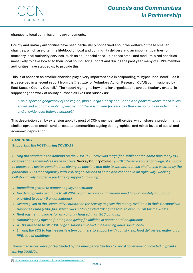

changes to local commissioning arrangements.

County and unitary authorities have been particularly concerned about the welfare of these smaller charities, which are often the lifeblood of local and community delivery and an important partner for statutory local authority services, such as adult social care. It is these small and medium-sized charities most likely to have looked to their local council for support and during the past year many of CCN's member authorities have stepped up to provide this.

This is of concern as smaller charities play a very important role in responding to 'hyper-local need' – as it is described in a recent report from the Institute for Voluntary Action Research (IVAR) commissioned by East Sussex County Council. $^4\,$  The report highlights how smaller organisations are particularly crucial in supporting the work of county authorities like East Sussex as:

*"The dispersed geography of the region, plus a large elderly population and pockets where there is low* social and economic mobility, means that there is a need for services that can go to these individuals *and provide local tailored support."*

This description can by extension apply to most of CCN's member authorities, which share a predominantly similar spread of small rural or coastal communities, ageing demographics, and mixed levels of social and economic deprivation.

### *CASE STUDY:*

### *Supporting the VCSE during COVID-19*

During the pandemic the demand on the VCSE in Surrey was magnified, whilst at the same time many VCSE *organisations themselves were in crisis. Surrey County Council (SCC) offered a robust package of support* to ensure the sector remained as strong as possible and able to withstand these challenges created by the *pandemic. SCC met regularly with VCS organisations to listen and respond in an agile way, working collaboratively to offer a package of support including:*

- *Immediate grants to support agility/operations;*
- *Hardship grants available to all VCSE organisations in immediate need (approximately £350,000 provided to over 40 organisations);*
- *Grants given to the Community Foundation for Surrey to grow the money available in their Coronavirus Response Fund (£300,000 which was match funded taking the total to over £2.1m for the VCSE);*
- *Rent payment holidays for any charity housed in an SCC building;*
- *Honouring any agreed funding and giving flexibilities in contractual obligations;*
- *A 10% increase to all VCSE organisations involved in delivering adult social care*
- *Linking the VCS to businesses/system partners to support with activity, e.g. food deliveries, material for PPE, use of buildings.*

*These measures were partly funded by the emergency funding for local government provided in grants during 2020/21.*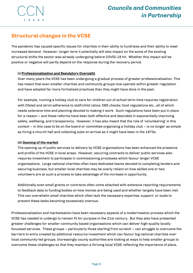# **Structural changes in the VCSE**

The pandemic has caused specific issues for charities in their ability to fundraise and their ability to meet increased demand. However, longer term it potentially will also impact on the some of the existing structural shifts the sector was already undergoing before COVID-19 hit. Whether this impact will be positive or negative will partly depend on the response during the recovery period.

### **(i) Professionalisation and Regulatory Oversight**

Over many years the VCSE has been undergoing a gradual process of greater professionalisation. This has meant that even smaller charities and community groups now operate within greater regulation and have adopted far more formalised practices than they might have done in the past.

For example, running a holiday club to care for children out of school term-time requires registration with Ofsted and strict adherence to staff:child ratios; DBS checks; food regulations etc., all of which needs extensive time and planning devoted to making it work. Such regulations have been put in place for a reason – and these reforms have been both effective and desirable in exponentially improving safety, wellbeing, and transparency. However, it has also meant that the role of 'volunteering' in this context – in this case to be on the board or committee organising a holiday club – is no longer as simple as hiring a church hall and collecting subs on arrival as it might have been in the 1970s.

### **(ii) Opening of the market**

The opening up of public services to delivery by VCSE organisations has been enhanced the presence and profile of the VCSE in local areas. However, securing contracts to deliver public services also requires investment to participate in commissioning processes which favour larger VCSE organisations. Large national charities often have dedicated teams devoted to completing tenders and securing business, but smaller local charities may be overly reliant on how skilled one or two volunteers are at such a process to take advantage of the increase in opportunity.

Additionally even small grants or contracts often come attached with extensive reporting requirements to feedback data to funding bodies on how monies are being used and whether targets have been met. This can overwhelm small charities which often lack the necessary expertise, support, or scale to prevent these tasks becoming excessively onerous.

Professionalisation and marketisation have been necessary aspects of a modernisation process which the VCSE has needed to undergo to remain fit for purpose in the 21st century. But they also have presented greater challenges for smaller community based organisations which can deliver high-quality locally focussed services. These groups – particularly those starting from scratch – can struggle to overcome the barriers to entry created by additional resource investment which can favour big national charities over local community-led groups. Increasingly county authorities are looking at ways to help smaller groups to overcome these challenges so that they maintain a thriving local VCSE reflecting the importance of place.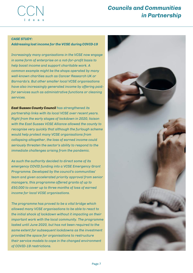

### *CASE STUDY:*

### *Addressing lost income for the VCSE during COVID-19*

*Increasingly many organisations in the VCSE now engage in some form of enterprise on a not-for-profit basis to help boost income and support charitable work. A common example might be the shops operated by many well-known charities such as Cancer Research UK or Barnardo's. But other smaller local VCSE organisations have also increasingly generated income by offering paidfor services such as administrative functions or cleaning services.*

*East Sussex County Council has strengthened its partnership links with its local VCSE over recent years. Right from the early stages of lockdown in 2020, liaison with the East Sussex VCSE Alliance allowed the county to recognise very quickly that although the furlough scheme would help protect many VCSE organisations from collapsing altogether, the loss of earned income could seriously threaten the sector's ability to respond to the immediate challenges arising from the pandemic.*

*As such the authority decided to direct some of its emergency COVID funding into a VCSE Emergency Grant Programme. Developed by the council's communities' team and given accelerated priority approval from senior managers, this programme offered grants of up to £50,000 to cover up to three months of loss of earned income for local VCSE organisations.*

*The programme has proved to be a vital bridge which allowed many VCSE organisations to be able to react to the initial shock of lockdown without it impacting on their important work with the local community. The programme lasted until June 2020, but has not been required to the same extent for subsequent lockdowns as the investment provided the space for organisations to restructure their service models to cope in the changed environment of COVID-19 restrictions.*

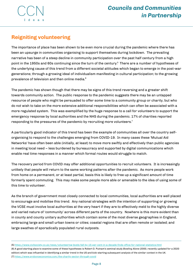**CCN** I de

# **Reigniting volunteering**

The importance of place has been shown to be even more crucial during the pandemic where there has been an upsurge in communities organising to support themselves during lockdown. The prevailing narrative has been of a steep decline in community participation over the past half century from a high point in the 1950s and 60s continuing since the turn of the century.<sup>5</sup> There are a number of hypotheses of the underlying cause of this trend from a different societal attitudes which began to emerge in the post-war generations; through a growing ideal of individualism manifesting in cultural participation; to the growing prevalence of television and then online media. $^{\mathrm{6}}$ 

The pandemic has shown though that there may be signs of this trend reversing and a greater shift towards community action. The public response to the pandemic suggests there may be an untapped resource of people who might be persuaded to offer some time to a community group or charity, but who do not wish to take on the more extensive additional responsibilities which can often be associated with a more regulated system. This was exemplified by the huge response to a call for volunteers to support the emergency response by local authorities and the NHS during the pandemic. 17% of charities reported responding to the pressures of the pandemic by recruiting more volunteers. 7

A particularly good indicator of this trend has been the example of communities all over the country selforganising to respond to the challenges emerging from COVID-19. In many cases these 'Mutual Aid Networks' have often been able (initially, at least) to move more swiftly and effectively than public agencies in meeting local need – less burdened by bureaucracy and supported by digital communications which enable real time responses in a manner which formal routes would struggle to match.

The recovery period from COVID may offer additional opportunities to recruit volunteers. It is increasingly unlikely that people will return to the same working patterns after the pandemic. As more people work from home on a permanent, or at least partial, basis this is likely to free up a significant amount of time formerly spent commuting. This may make some people more able or amenable to the idea of using some of this time to volunteer.

As the branch of government most closely connected to local communities, local authorities are well placed to encourage and mobilise this trend. Any national strategies with the intention of supporting or growing the VCSE must involve local authorities at the very heart if they are to effectively meld to the highly diverse and varied nature of 'community' across different parts of the country. Nowhere is this more evident than in county and county unitary authorities which contain some of the most diverse geographies in England, embracing large and small urban towns or cities; coastal regions that are often remote or isolated; and large swathes of sporadically populated rural outposts.

<sup>[5]</sup> <https://www.civilsociety.co.uk/news/volunteering-levels-fall-by-15-per-cent-in-a-decade-finds-office-for-national-statistics.html> [6] A good starting place to examine some of these hypotheses is Robert D. Putnam's seminal study *Bowling Alone* (2000, recently updated for a 2020 edition) which was influential in identifying a similar trend in the US and kick-starting subsequent analysis of the similar context in the UK. [7] <https://www.probonoeconomics.com/the-charity-sector-through-covid>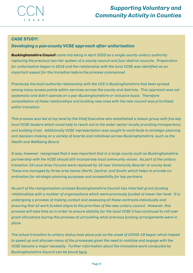

# *CASE STUDY:*

# *Developing a pan-county VCSE approach after unitarisation*

*Buckinghamshire Council came into being in April 2020 as a single county unitary authority replacing the previous two-tier system of a county council and four district councils. Preparation for unitarisation began in 2018 and the relationship with the local VCSE was identified as an important aspect for the transition before the process commenced.*

*Previously the local authority relationship with the VCS in Buckinghamshire had been spread among many access points within services across the county and districts. This approach was not systematic and didn't operate on a pan-Buckinghamshire or inclusive basis. Therefore consolidation of these relationships and building new ones with the new council was prioritised within transition.*

This process was led at top level by the Chief Executive who established a liaison group with five key *local VCSE leaders which could help to reach out to the wider sector locally providing transparency and building trust. Additionally VCSE representation was sought to contribute to strategic planning and decision-making on a variety of boards and initiatives across Buckinghamshire, such as the Health and Wellbeing Board.*

*It was, however, recognised that it was important that in a large county such as Buckinghamshire partnership with the VCSE should still incorporate local community voices. As part of the unitary transition 19 Local Area Forums were replaced by 16 new 'Community Boards' at county level. These are managed by three area teams (North, Central, and South) which helps to provide coordination for strategic planning purposes and accessibility for key partners.*

*As part of the reorganisation process Buckinghamshire Council has inherited grant-funding relationships with a number of organisations which were previously funded at lower-tier level. It is undergoing a process of making contact and assessing all these contracts individually and ensuring that all work funded aligns to the priorities of the new unitary council. However, this* process will take time so in order to ensure stability for the local VCSE it has continued to roll over *grant allocations during this process of unravelling what previous funding arrangements were in place.*

*The actual transition to unitary status took place just as the onset of COVID-19 began which helped to speed up and sharpen many of the processes given the need to mobilise and engage with the VCSE became a major necessity. Further information about the innovative work conducted by Buckinghamshire Council can be found [here.](https://www.buckinghamshire.gov.uk/news/buckinghamshire-councils-unique-approach-to-working-with-the-voluntary-sector-to-help-with-the-pandemic/)*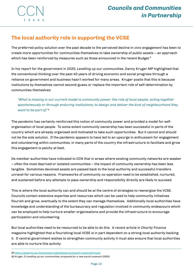# **The local authority role in supporting the VCSE**

The preferred policy solution over the past decade to the perceived decline in civic engagement has been to create more opportunities for communities themselves to take ownership of public assets – an approach which has been reinforced by measures such as those announced in the recent Budget. $^{\rm 8}$ 

In his report for the government in 2020, *Levelling up our communities*, Danny Kruger MP highlighted that the conventional thinking over the past 40 years of driving economic and social progress through a reliance on government and business hasn't worked for many areas. Kruger posits that this is because institutions by themselves cannot second-guess or replace the important role of self-determination by communities themselves:

*"What is missing in our current model is community power: the role of local people, acting together spontaneously or through enduring institutions, to design and deliver the kind of neighbourhood they want to be part of."* 9

The pandemic has certainly reinforced this notion of community power and provided a model for selforganisation of local people. To some extent community ownership has been successful in parts of the country which are already organised and motivated to take such opportunities. But it cannot and should not be the sole solution. If the pandemic appears to have led to an upsurge in enthusiasm for engagement and volunteering within communities, in many parts of the country the infrastructure to facilitate and grow this engagement is patchy at best.

Its member authorities have indicated to CCN that in areas where existing community networks are weaker – often the most deprived or isolated communities – the impact of community ownership has been less tangible. Sometimes devolved assets are passed back to the local authority and successful transfers unravel for various reasons. Frameworks of community co-operation need to be established, nurtured, and sustained before any attempts to pass ownership and responsibility directly are likely to succeed.

This is where the local authority can and should be at the centre of strategies to reenergise the VCSE. Councils contain extensive expertise and resources which can be used to help community initiatives flourish and grow, eventually to the extent they can manage themselves. Additionally local authorities have knowledge and understanding of the bureaucracy and regulation involved in community endeavours which can be employed to help nurture smaller organisations and provide the infrastructure to encourage participation and volunteering.

But local authorities need to be resourced to be able to do this. A recent article in *Charity Finance* magazine highlighted that a flourishing local VCSE is in part dependent on a strong local authority backing it. If central government wishes to strengthen community activity it must also ensure that local authorities are able to nurture this activity:

[8] <https://www.gov.uk/government/publications/community-ownership-fund>

[9] Kruger, D *Levelling up our communities: proposals for a new social covenant* (2020)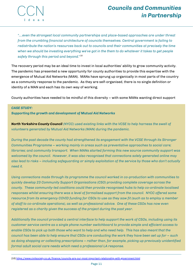

*"….even the strongest local community partnerships and place-based approaches are under threat from the crumbling financial architecture of councils themselves. Central government is failing to redistribute the nation's resources back out to councils and their communities at precisely the time* when we should be investing everything we've got in the them to do whatever it takes to get people *safely through this period and beyond."* 10

The recovery period may be an ideal time to invest in local authorities' ability to grow community activity. The pandemic has presented a new opportunity for county authorities to provide this expertise with the emergence of Mutual Aid Networks (MAN). MANs have sprung up organically in most parts of the country as a community response to the pandemic. As they are self-organised, there is no single definition or identity of a MAN and each has its own way of working.

County authorities have needed to be mindful of this diversity – with some MANs wanting direct support

### *CASE STUDY:*

*Supporting the growth and development of Mutual Aid Networks*

*North Yorkshire County Council (NYCC) used existing links with the VCSE to help harness the swell of volunteers generated by Mutual Aid Networks (MAN) during the pandemic.*

*During the past decade the county had strengthened its engagement with the VCSE through its Stronger Communities Programme – working mainly in areas such as preventative approaches to social care; libraries; and community transport. When MANs started forming this new source community support was welcomed by the council. However, it was also recognised that connections solely generated online may* also lead to risks – including safeguarding or simply exploitation of the service by those who don't actually *need it.*

*Using connections made through its programme the council worked in co-production with communities to quickly develop 23 Community Support Organisations (CSO) providing complete coverage across the county. These community-led coalitions could then provide recognised hubs to help co-ordinate localised responses whilst ensuring there was a level of formalised support from the council. NYCC offered some* resource from its emergency COVID funding for CSOs to use as they saw fit (such as to employ a member *of staff to co-ordinate operations), as well as professional advice. One of these CSOs has now even registered as a charity given the success of the project during the past year.*

Additionally the council provided a central interface to help support the work of CSOs, including using its *customer service centre as a single phone number switchboard to provide simple and efficient access to* enable CSOs to pick up both those who want to help and who need help. This has also meant that the council has been able to help ensure that CSOs are conducting the work they have been set up for – such *as doing shopping or collecting prescriptions – rather than, for example, picking up previously unidentified formal adult social care needs which need a professional LA response.*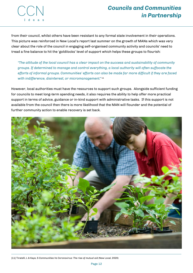

from their council, whilst others have been resistant to any formal state involvement in their operations. This picture was reinforced in New Local's report last summer on the growth of MANs which was very clear about the role of the council in engaging self-organised community activity and councils' need to tread a fine balance to hit the 'goldilocks' level of support which helps these groups to flourish:

*"The attitude of the local council has a clear impact on the success and sustainability of community groups. If determined to manage and control everything, a local authority will often suffocate the efforts of informal groups. Communities' efforts can also be made far more difficult if they are faced with indifference, disinterest, or micromanagement."* 11

However, local authorities must have the resources to support such groups. Alongside sufficient funding for councils to meet long-term spending needs, it also requires the ability to help offer more practical support in terms of advice, guidance or in-kind support with administrative tasks. If this support is not available from the council then there is more likelihood that the MAN will flounder and the potential of further community action to enable recovery is set back.



[11] Tiratelli, L & Kaye, S *Communities Vs Coronavirus: The rise of mutual aid* (New Local, 2020)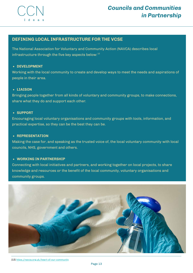

The National Association for Voluntary and Community Action (NAVCA) describes local infrastructure through the five key aspects below:<sup>12</sup>

### **DEVELOPMENT**

Working with the local community to create and develop ways to meet the needs and aspirations of people in their area.

### **LIAISON**

Bringing people together from all kinds of voluntary and community groups, to make connections, share what they do and support each other.

### **SUPPORT**

Encouraging local voluntary organisations and community groups with tools, information, and practical expertise, so they can be the best they can be.

### **REPRESENTATION**

Making the case for, and speaking as the trusted voice of, the local voluntary community with local councils, NHS, government and others.

### **WORKING IN PARTNERSHIP**

Connecting with local initiatives and partners, and working together on local projects, to share knowledge and resources or the benefit of the local community, voluntary organisations and **COMPLANT COCAL INFRASTRUCTURE FOR THE VCSE**<br>The National Association for Voluntary and Community Action (NA)<br>infrastructure through the five key aspects below:<sup>12</sup><br>• **DEVELOPMENT**<br>Working with the local community to creat



[12] https://navca.org.u[k/h](https://navca.org.uk/heart-of-our-community)eart-of-our-community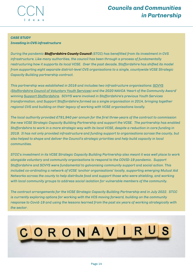

### *CASE STUDY*

### *Investing in CVS infrastructure*

*During the pandemic Staffordshire County Council (STCC) has benefitted from its investment in CVS infrastructure. Like many authorities, the council has been through a process of fundamentally restructuring how it supports its local VCSE. Over the past decade, Staffordshire has shifted its model from supporting eight separate district-level CVS organisations to a single, countywide VCSE Strategic Capacity Building partnership contract.*

*This partnership was established in 2016 and includes two [infrastructure](https://protect-eu.mimecast.com/s/Ny1NC2RJDFkBPODinEEX8) organisations: SCVYS (Staffordshire Council of Voluntary Youth Services) and the 2020 NAVCA 'Heart of the Community Award' winning Support [Staffordshire.](https://protect-eu.mimecast.com/s/kow3C3lJVImy60rSqEMrV) SCVYS were involved in Staffordshire's previous Youth Services transformation, and Support Staffordshire formed as a single organisation in 2014, bringing together regional CVS and building on their legacy of working with VCSE organisations locally.*

*The local authority provided £791,940 per annum for the first three-years of the contract to commission the new VCSE Strategic Capacity Building Partnership and support the VCSE. The partnership has enabled* Staffordshire to work in a more strategic way with its local VCSE, despite a reduction in core funding in *2019. It has not only provided infrastructure and funding support to organisations across the county, but also helped to shape and deliver the Council's strategic priorities and help build capacity in local communities.*

STCC's investment in its VCSE Strategic Capacity Building Partnership also meant it was well place to work *alongside voluntary and community organisations to respond to the COVID-19 pandemic. Support Staffordshire and SCVYS were fundamental to galvanising community support and social action. This included co-ordinating a network of VCSE 'anchor organisations' locally, supporting emerging Mutual Aid Networks across the county to help distribute food and support those who were shielding, and working with local community groups to address social isolation for vulnerable members of the community.*

*The contract arrangements for the VCSE Strategic Capacity Building Partnership end in July 2022. STCC is currently exploring options for working with the VCS moving forward, building on the community response to Covid-19 and using the lessons learned from the past six years of working strategically with the sector.*

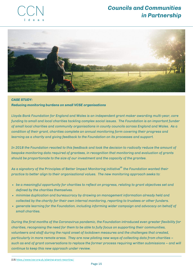



## *CASE STUDY: Reducing monitoring burdens on small VCSE organisations*

*Lloyds Bank Foundation for England and Wales is an independent grant maker awarding multi-year, core funding to small and local charities tackling complex social issues. The Foundation is an important funder of small local charities and community organisations in county councils across England and Wales. As a condition of their grant, charities complete an annual monitoring form covering their progress and learning as a charity and giving feedback to the Foundation on its processes and support.*

In 2018 the Foundation reacted to this feedback and took the decision to radically reduce the amount of *bespoke monitoring data required of grantees, in recognition that monitoring and evaluation of grants should be proportionate to the size of our investment and the capacity of the grantee.*

*As a signatory of the* Principles of Better Impact Monitoring *initiative the Foundation wanted their* **13** *practice to better align to their organisational values. The new monitoring approach seeks to:*

- *be a meaningful opportunity for charities to reflect on progress, relating to grant objectives set and defined by the charities themselves.*
- *minimise duplication and bureaucracy by drawing on management information already held and collected by the charity for their own internal monitoring, reporting to trustees or other funders.*
- *generate learning for the Foundation, including informing wider campaign and advocacy on behalf of small charities.*

*During the first months of the Coronavirus pandemic, the Foundation introduced even greater flexibility for charities, recognising the need for them to be able to fully focus on supporting their communities, volunteers and staff during the rapid onset of lockdown measures and the challenges that created, particularly in more remote areas. They are now piloting new ways of collecting data from charities – such as end of grant conversations to replace the former process requiring written submissions – and will continue to keep this new approach under review.*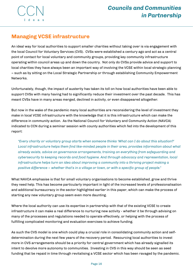

# **Managing VCSE infrastructure**

An ideal way for local authorities to support smaller charities without taking over is via engagement with the local Council for Voluntary Services (CVS). CVSs were established a century ago and act as a central point of contact for local voluntary and community groups, providing key community infrastructure operating within council areas up and down the country. Not only do CVSs provide advice and support to local charities they have always been an important way of involving the VCSE within local strategic planning – such as by sitting on the Local Strategic Partnership or through establishing Community Empowerment Networks.

Unfortunately, though, the impact of austerity has taken its toll on how local authorities have been able to support CVSs with many having had to significantly reduce their investment over the past decade. This has meant CVSs have in many areas merged, declined in activity, or even disappeared altogether.

But now in the wake of the pandemic many local authorities are reconsidering the level of investment they make in local VCSE infrastructure with the knowledge that it is this infrastructure which can make the difference in community action. As the National Council for Voluntary and Community Action (NAVCA) indicated to CCN during a seminar session with county authorities which fed into the development of this report:

*"Every charity or voluntary group starts when someone thinks 'What can I do about this situation?' Local infrastructure helps them find like-minded people in their area, provides information about what already exists, advice on governance arrangements, training on everything from safeguarding and cybersecurity to keeping records and food hygiene. And through advocacy and representation, local infrastructure helps turn an idea about improving a community into a thriving project making a positive difference – whether that's in a village or town, or with a specific group of people."*

What NAVCA emphasise is that for small voluntary organisations to become established, grow and thrive they need help. This has become particularly important in light of the increased levels of professionalisation and additional bureaucracy in the sector highlighted earlier in this paper, which can make the process of starting any new voluntary group seem even more daunting.

Where the local authority can use its expertise in partnership with that of the existing VCSE to create infrastructure it can make a real difference to nurturing new activity - whether it be through advising on many of the processes and regulations needed to operate effectively, or helping with the process of fulfilling complicated monitoring and evaluation exercises to achieve funding.

As such the CVS model is one which could play a crucial role in consolidating community action and selfdetermination during the next few years of the recovery period. Resourcing local authorities to invest more in CVS arrangements should be a priority for central government which has already signalled its intent to devolve more autonomy to communities. Investing in CVS in this way should be seen as seed funding that be repaid in time through revitalising a VCSE sector which has been ravaged by the pandemic.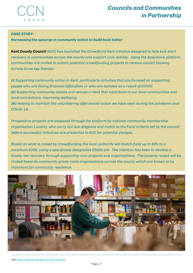

### *CA S E S T U D Y:*

Harnessing the upsurge in community action to build back better

Kent County Council (KCC) has launched the Crowdfund Kent initiative designed to help kick start recovery in communities across the county and support civic activity. Using the Spacehive platform communities are invited to submit potential crowdfunding projects to receive council backing across three key themes:

(i) Supporting community action in Kent, particularly activities that are focused on supporting people who are facing financial difficulties or who are isolated as a result of COVID. (ii) Supporting community assets and venues in Kent that contribute to our local communities and local connections, improving wellbeing.

(iii) Helping to maintain the volunteering offer/social action we have seen during the pandemic post *C O VI D - 1 9.*

Prospective projects are assessed through the platform by national community membership organisation Locality, who carry out due diligence and match to the Fund criteria set by the council, *before successful initiatives are presented to KCC for potential pledges.*

*Based on what is raised by crowdfunding the local authority will match-fund up to 50% to a maximum £20k, using a specifically designated £500k pot. The intention has been to develop a locally-led recovery through supporting civic projects and organisations. The funding raised will be routed towards community grass-roots organisations across the county which are known to be important for community resilience.*

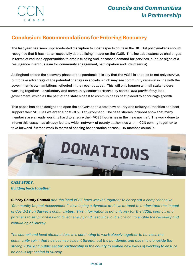

# **Conclusion: Recommendations for Entering Recovery**

The last year has seen unprecedented disruption to most aspects of life in the UK. But policymakers should recognise that it has had an especially destabilising impact on the VCSE. This includes extensive challenges in terms of reduced opportunities to obtain funding and increased demand for services, but also signs of a resurgence in enthusiasm for community engagement, participation and volunteering.

As England enters the recovery phase of the pandemic it is key that the VCSE is enabled to not only survive, but to take advantage of the potential changes in society which may see community renewal in line with the government's own ambitions reflected in the recent budget. This will only happen with all stakeholders working together – a voluntary and community sector partnered by central *and particularly* local government, which as the part of the state closest to communities is best placed to encourage growth.

This paper has been designed to open the conversation about how county and unitary authorities can best support their VCSE as we enter a post-COVID environment. The case studies included show that many members are already working hard to ensure their VCSE flourishes in the 'new normal'. The work done to inform this essay has already led to a wider network of county authorities within CCN coming together to take forward further work in terms of sharing best practice across CCN member councils.



# *CASE STUDY: Building back together*

*Surrey County Council and the local VCSE have worked together to carry out a comprehensive 'Community Impact Assessment' developing a dynamic and live dataset to understand the impact* 14*of Covid-19 on Surrey's communities. This information is not only key for the VCSE, council, and partners to set priorities and direct energy and resource, but is critical to enable the recovery and rebuilding of Surrey.*

*The council and local stakeholders are continuing to work closely together to harness the community spirit that has been so evident throughout the pandemic, and use this alongside the strong VCSE and public sector partnership in the county to embed new ways of working to ensure no one is left behind in Surrey.*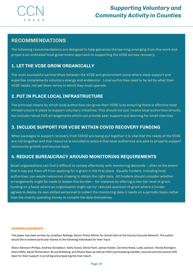

# **RECOMMENDATIONS**

The following recommendations are designed to help galvanise the learning emerging from this work and propel a co-ordinated local government approach to supporting the VCSE across recovery:

# **1. LET THE VCSE GROW ORGANICALLY**

The most successful partnerships between the VCSE and government come where state support and expertise complements voluntary energy and endeavour. Local authorities need to be led by what their VCSE needs, not set down terms in which they must operate.

# **2. PUT IN PLACE LOCAL INFRASTRUCTURE**

The principal means by which local authorities can grow their VCSE is by ensuring there is effective local infrastructure in place to support voluntary initiatives. This should not just involve local authorities directly, but include robust CVS arrangements which can provide peer support and learning for small charities.

# **3. INCLUDE SUPPORT FOR VCSE WITHIN COVID RECOVERY FUNDING**

When packages to support recovery from COVID are being put together it is vital that the needs of the VCSE are not forgotten and that resource is included to ensure that local authorities are able to properly support community growth and bounce-back.

# **4. REDUCE BUREAUCRACY AROUND MONITORING REQUIREMENTS**

Small organisations can find it difficult to comply effectively with monitoring demands – often to the extent that it may put them off from applying for a grant in the first place. Equally funders, including local authorities, can waste resources chasing to obtain the right data. All funders should consider whether arrangements might be made to lessen this burden – for instance by offering a two-tier level of grant funding on a basis where an organisation might opt for reduced quantum of grant where a funder agrees to deploy its own skilled personnel to collect the monitoring data it needs on a periodic basis rather than the charity spending money to compile the data themselves.

### **ACKNOWLEDGEMENTS**

This paper has been written by Jonathan Rallings, Senior Policy Officer for Social Care at the County Councils Network. The author would like to extend particular thanks to the following individuals for their input:

Alison Atkinson-Phillips, Andrew Donaldson, Kathy Evans, Silvia Fisch, James Holden, Caroline Howe, Lydia Jackson, Nicola Kilvington, Claire Mills, Sarah Richardson, Bruce Rothberg, and Shane Ryan as well as CCN's participating member councils and the central CCN team for their support in proofing and preparing the final report.